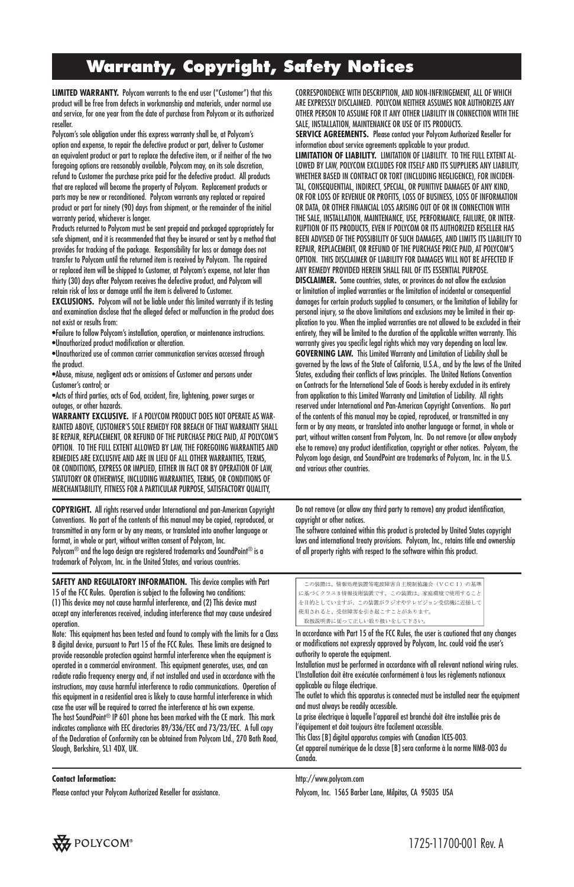## **Warranty, Copyright, Safety Notices**

**LIMITED WARRANTY.** Polycom warrants to the end user ("Customer") that this product will be free from defects in workmanship and materials, under normal use and service, for one year from the date of purchase from Polycom or its authorized reseller.

Polycom's sole obligation under this express warranty shall be, at Polycom's option and expense, to repair the defective product or part, deliver to Customer an equivalent product or part to replace the defective item, or if neither of the two foregoing options are reasonably available, Polycom may, on its sole discretion, refund to Customer the purchase price paid for the defective product. All products that are replaced will become the property of Polycom. Replacement products or parts may be new or reconditioned. Polycom warrants any replaced or repaired product or part for ninety (90) days from shipment, or the remainder of the initial warranty period, whichever is longer.

Products returned to Polycom must be sent prepaid and packaged appropriately for safe shipment, and it is recommended that they be insured or sent by a method that provides for tracking of the package. Responsibility for loss or damage does not transfer to Polycom until the returned item is received by Polycom. The repaired or replaced item will be shipped to Customer, at Polycom's expense, not later than thirty (30) days after Polycom receives the defective product, and Polycom will retain risk of loss or damage until the item is delivered to Customer.

**EXCLUSIONS.** Polycom will not be liable under this limited warranty if its testing and examination disclose that the alleged defect or malfunction in the product does not exist or results from:

•Failure to follow Polycom's installation, operation, or maintenance instructions. •Unauthorized product modification or alteration.

•Unauthorized use of common carrier communication services accessed through the product.

•Abuse, misuse, negligent acts or omissions of Customer and persons under Customer's control; or

•Acts of third parties, acts of God, accident, fire, lightening, power surges or outages, or other hazards.

**WARRANTY EXCLUSIVE.** IF A POLYCOM PRODUCT DOES NOT OPERATE AS WAR-RANTED ABOVE, CUSTOMER'S SOLE REMEDY FOR BREACH OF THAT WARRANTY SHALL BE REPAIR, REPLACEMENT, OR REFUND OF THE PURCHASE PRICE PAID, AT POLYCOM'S OPTION. TO THE FULL EXTENT ALLOWED BY LAW, THE FOREGOING WARRANTIES AND REMEDIES ARE EXCLUSIVE AND ARE IN LIEU OF ALL OTHER WARRANTIES, TERMS, OR CONDITIONS, EXPRESS OR IMPLIED, EITHER IN FACT OR BY OPERATION OF LAW, STATUTORY OR OTHERWISE, INCLUDING WARRANTIES, TERMS, OR CONDITIONS OF MERCHANTABILITY, FITNESS FOR A PARTICULAR PURPOSE, SATISFACTORY QUALITY,

**COPYRIGHT.** All rights reserved under International and pan-American Copyright Conventions. No part of the contents of this manual may be copied, reproduced, or transmitted in any form or by any means, or translated into another language or format, in whole or part, without written consent of Polycom, Inc. Polycom® and the logo design are registered trademarks and SoundPoint® is a trademark of Polycom, Inc. in the United States, and various countries.

**SAFETY AND REGULATORY INFORMATION.** This device complies with Part 15 of the FCC Rules. Operation is subject to the following two conditions: (1) This device may not cause harmful interference, and (2) This device must accept any interferences received, including interference that may cause undesired operation.

Note: This equipment has been tested and found to comply with the limits for a Class B digital device, pursuant to Part 15 of the FCC Rules. These limits are designed to provide reasonable protection against harmful interference when the equipment is operated in a commercial environment. This equipment generates, uses, and can radiate radio frequency energy and, if not installed and used in accordance with the instructions, may cause harmful interference to radio communications. Operation of this equipment in a residential area is likely to cause harmful interference in which case the user will be required to correct the interference at his own expense. The host SoundPoint® IP 601 phone has been marked with the CE mark. This mark indicates compliance with EEC directories 89/336/EEC and 73/23/EEC. A full copy of the Declaration of Conformity can be obtained from Polycom Ltd., 270 Bath Road, Slough, Berkshire, SL1 4DX, UK.

#### **Contact Information:**

Please contact your Polycom Authorized Reseller for assistance.

CORRESPONDENCE WITH DESCRIPTION, AND NON-INFRINGEMENT, ALL OF WHICH ARE EXPRESSLY DISCLAIMED. POLYCOM NEITHER ASSUMES NOR AUTHORIZES ANY OTHER PERSON TO ASSUME FOR IT ANY OTHER LIABILITY IN CONNECTION WITH THE SALE, INSTALLATION, MAINTENANCE OR USE OF ITS PRODUCTS.

**SERVICE AGREEMENTS.** Please contact your Polycom Authorized Reseller for information about service agreements applicable to your product.

**LIMITATION OF LIABILITY.** LIMITATION OF LIABILITY. TO THE FULL EXTENT AL-LOWED BY LAW, POLYCOM EXCLUDES FOR ITSELF AND ITS SUPPLIERS ANY LIABILITY, WHETHER BASED IN CONTRACT OR TORT (INCLUDING NEGLIGENCE), FOR INCIDEN-TAL, CONSEQUENTIAL, INDIRECT, SPECIAL, OR PUNITIVE DAMAGES OF ANY KIND, OR FOR LOSS OF REVENUE OR PROFITS, LOSS OF BUSINESS, LOSS OF INFORMATION OR DATA, OR OTHER FINANCIAL LOSS ARISING OUT OF OR IN CONNECTION WITH THE SALE, INSTALLATION, MAINTENANCE, USE, PERFORMANCE, FAILURE, OR INTER-RUPTION OF ITS PRODUCTS, EVEN IF POLYCOM OR ITS AUTHORIZED RESELLER HAS BEEN ADVISED OF THE POSSIBILITY OF SUCH DAMAGES, AND LIMITS ITS LIABILITY TO REPAIR, REPLACEMENT, OR REFUND OF THE PURCHASE PRICE PAID, AT POLYCOM'S OPTION. THIS DISCLAIMER OF LIABILITY FOR DAMAGES WILL NOT BE AFFECTED IF ANY REMEDY PROVIDED HEREIN SHALL FAIL OF ITS ESSENTIAL PURPOSE.

**DISCLAIMER.** Some countries, states, or provinces do not allow the exclusion or limitation of implied warranties or the limitation of incidental or consequential damages for certain products supplied to consumers, or the limitation of liability for personal injury, so the above limitations and exclusions may be limited in their application to you. When the implied warranties are not allowed to be excluded in their entirety, they will be limited to the duration of the applicable written warranty. This warranty gives you specific legal rights which may vary depending on local law. **GOVERNING LAW.** This Limited Warranty and Limitation of Liability shall be governed by the laws of the State of California, U.S.A., and by the laws of the United States, excluding their conflicts of laws principles. The United Nations Convention on Contracts for the International Sale of Goods is hereby excluded in its entirety from application to this Limited Warranty and Limitation of Liability. All rights reserved under International and Pan-American Copyright Conventions. No part of the contents of this manual may be copied, reproduced, or transmitted in any form or by any means, or translated into another language or format, in whole or part, without written consent from Polycom, Inc. Do not remove (or allow anybody else to remove) any product identification, copyright or other notices. Polycom, the Polycom logo design, and SoundPoint are trademarks of Polycom, Inc. in the U.S. and various other countries.

Do not remove (or allow any third party to remove) any product identification, copyright or other notices.

The software contained within this product is protected by United States copyright laws and international treaty provisions. Polycom, Inc., retains title and ownership of all property rights with respect to the software within this product.

```
この装置は、情報処理装置等電波障害自主提制協議会 (VCCI) の基準
に基づくクラスB情報技術装置です。この装置は、家庭環境で使用すること
を目的としていますが、この装置がラジオやテレビジョン受信機に近接して
使用されると、受信障害を引き起こすことがあります。
取扱説明書に従って正しい取り扱いをして下さい
```
In accordance with Part 15 of the FCC Rules, the user is cautioned that any changes or modifications not expressly approved by Polycom, Inc. could void the user's authority to operate the equipment.

Installation must be performed in accordance with all relevant national wiring rules. L'Installation doit être exécutée conformément à tous les règlements nationaux applicable au filage électrique.

The outlet to which this apparatus is connected must be installed near the equipment and must always be readily accessible.

La prise électrique à laquelle l'appareil est branché doit être installée près de l'équipement et doit toujours être facilement accessible. This Class [B] digital apparatus compies with Canadian ICES-003. Cet appareil numérique de la classe [B] sera conforme à la norme NMB-003 du Canada.

http://www.polycom.com

Polycom, Inc. 1565 Barber Lane, Milpitas, CA 95035 USA

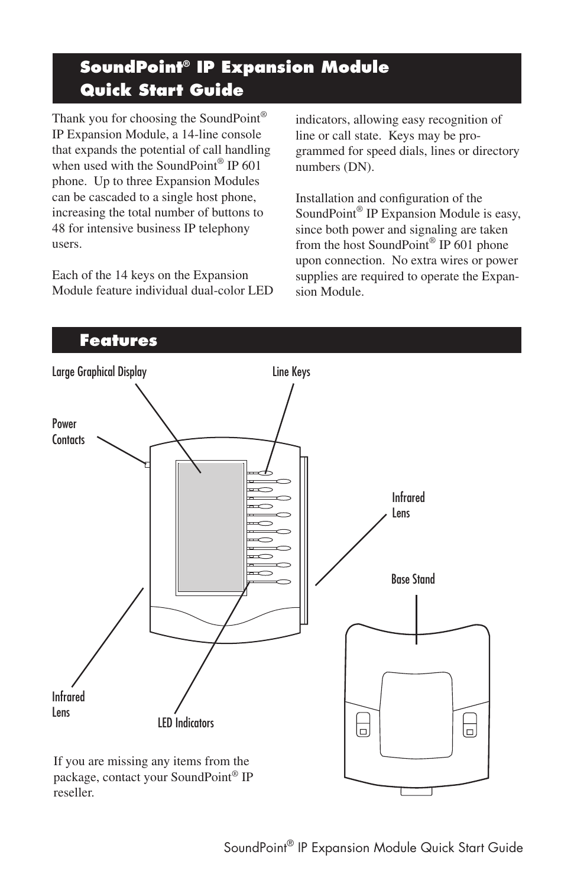# **SoundPoint® IP Expansion Module Quick Start Guide**

Thank you for choosing the SoundPoint<sup>®</sup> IP Expansion Module, a 14-line console that expands the potential of call handling when used with the SoundPoint<sup>®</sup> IP 601 phone. Up to three Expansion Modules can be cascaded to a single host phone, increasing the total number of buttons to 48 for intensive business IP telephony users.

Each of the 14 keys on the Expansion Module feature individual dual-color LED indicators, allowing easy recognition of line or call state. Keys may be programmed for speed dials, lines or directory numbers (DN).

Installation and configuration of the SoundPoint® IP Expansion Module is easy, since both power and signaling are taken from the host SoundPoint® IP 601 phone upon connection. No extra wires or power supplies are required to operate the Expansion Module.

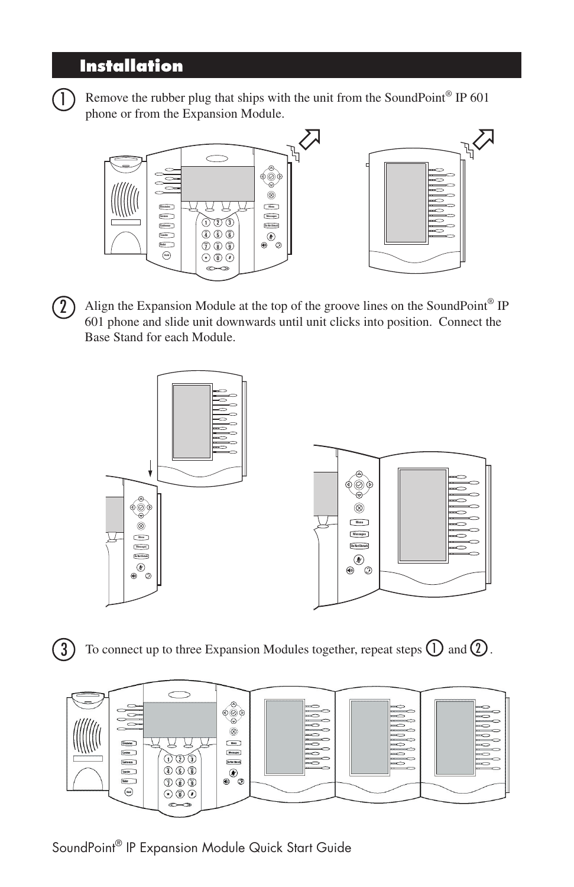### **Installation**



 $\Box$  Remove the rubber plug that ships with the unit from the SoundPoint® IP 601 phone or from the Expansion Module.



 $(2)$  Align the Expansion Module at the top of the groove lines on the SoundPoint® IP 601 phone and slide unit downwards until unit clicks into position. Connect the Base Stand for each Module.



3) To connect up to three Expansion Modules together, repeat steps  $\left(\bigcup\right)$  and  $\left(2\right)$ .



SoundPoint® IP Expansion Module Quick Start Guide